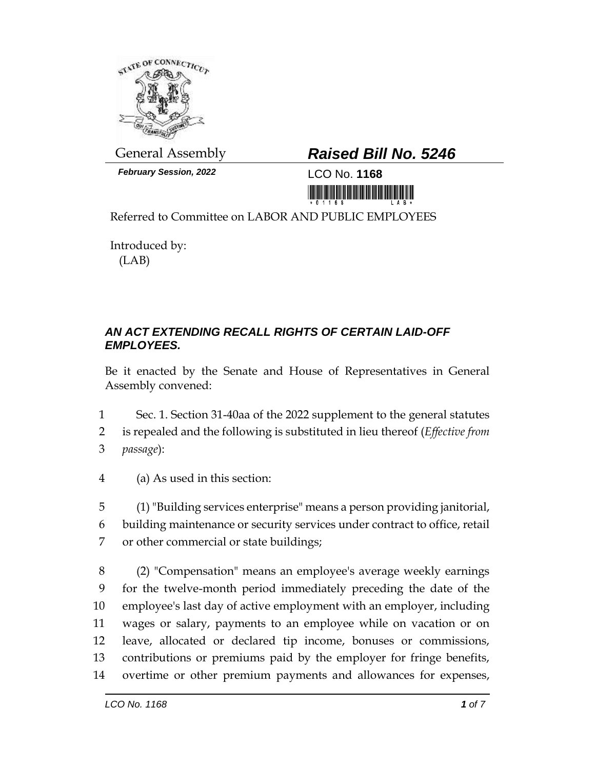

*February Session, 2022* LCO No. **1168**

## General Assembly *Raised Bill No. 5246*

<u> III di kacamatan ing Kabupatèn III di Kabupatèn III di Kabupatèn III di Kabupatèn III di Kabupatèn III di Kabu</u>

Referred to Committee on LABOR AND PUBLIC EMPLOYEES

Introduced by: (LAB)

## *AN ACT EXTENDING RECALL RIGHTS OF CERTAIN LAID-OFF EMPLOYEES.*

Be it enacted by the Senate and House of Representatives in General Assembly convened:

- 1 Sec. 1. Section 31-40aa of the 2022 supplement to the general statutes
- 2 is repealed and the following is substituted in lieu thereof (*Effective from*
- 3 *passage*):
- 4 (a) As used in this section:
- 5 (1) "Building services enterprise" means a person providing janitorial, 6 building maintenance or security services under contract to office, retail 7 or other commercial or state buildings;

 (2) "Compensation" means an employee's average weekly earnings for the twelve-month period immediately preceding the date of the employee's last day of active employment with an employer, including wages or salary, payments to an employee while on vacation or on leave, allocated or declared tip income, bonuses or commissions, contributions or premiums paid by the employer for fringe benefits, overtime or other premium payments and allowances for expenses,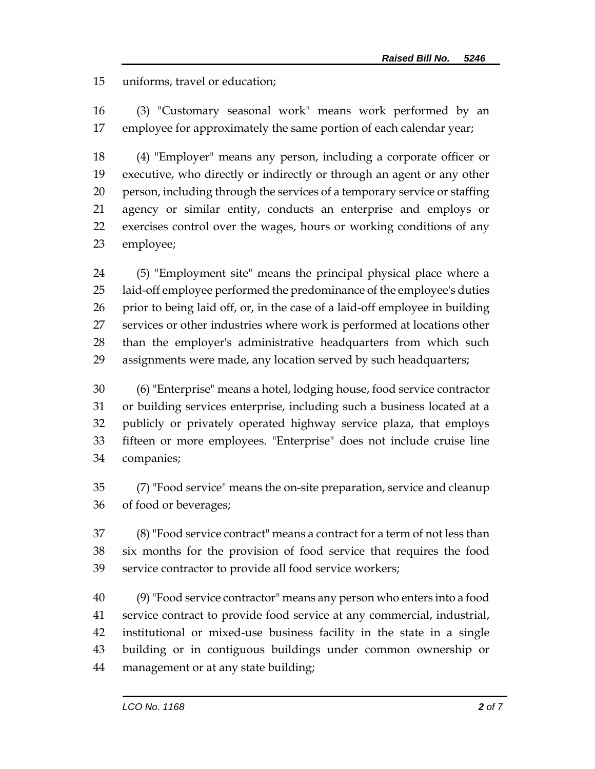uniforms, travel or education;

 (3) "Customary seasonal work" means work performed by an employee for approximately the same portion of each calendar year;

 (4) "Employer" means any person, including a corporate officer or executive, who directly or indirectly or through an agent or any other person, including through the services of a temporary service or staffing agency or similar entity, conducts an enterprise and employs or exercises control over the wages, hours or working conditions of any employee;

 (5) "Employment site" means the principal physical place where a laid-off employee performed the predominance of the employee's duties prior to being laid off, or, in the case of a laid-off employee in building services or other industries where work is performed at locations other than the employer's administrative headquarters from which such assignments were made, any location served by such headquarters;

 (6) "Enterprise" means a hotel, lodging house, food service contractor or building services enterprise, including such a business located at a publicly or privately operated highway service plaza, that employs fifteen or more employees. "Enterprise" does not include cruise line companies;

 (7) "Food service" means the on-site preparation, service and cleanup of food or beverages;

 (8) "Food service contract" means a contract for a term of not less than six months for the provision of food service that requires the food service contractor to provide all food service workers;

 (9)"Food service contractor" means any person who enters into a food service contract to provide food service at any commercial, industrial, institutional or mixed-use business facility in the state in a single building or in contiguous buildings under common ownership or management or at any state building;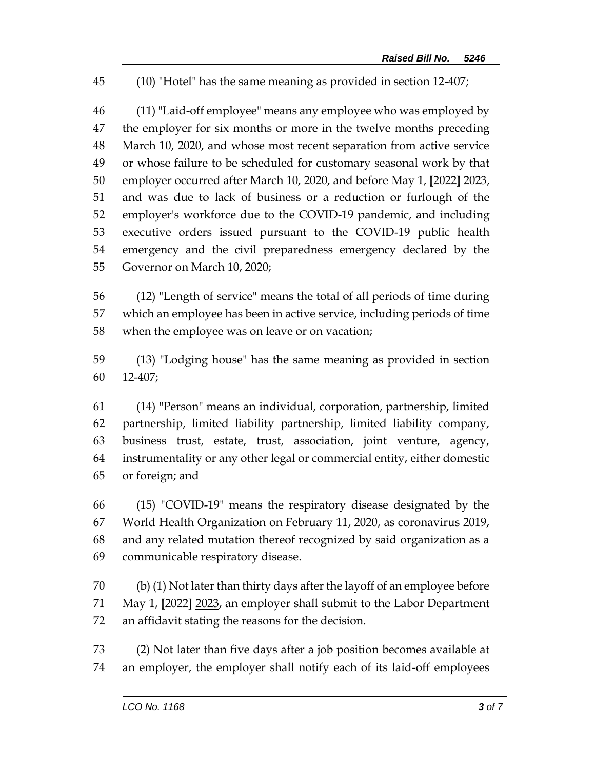(10) "Hotel" has the same meaning as provided in section 12-407;

 (11) "Laid-off employee" means any employee who was employed by 47 the employer for six months or more in the twelve months preceding March 10, 2020, and whose most recent separation from active service or whose failure to be scheduled for customary seasonal work by that employer occurred after March 10, 2020, and before May 1, **[**2022**]** 2023, and was due to lack of business or a reduction or furlough of the employer's workforce due to the COVID-19 pandemic, and including executive orders issued pursuant to the COVID-19 public health emergency and the civil preparedness emergency declared by the Governor on March 10, 2020;

 (12) "Length of service" means the total of all periods of time during which an employee has been in active service, including periods of time when the employee was on leave or on vacation;

 (13) "Lodging house" has the same meaning as provided in section 12-407;

 (14) "Person" means an individual, corporation, partnership, limited partnership, limited liability partnership, limited liability company, business trust, estate, trust, association, joint venture, agency, instrumentality or any other legal or commercial entity, either domestic or foreign; and

 (15) "COVID-19" means the respiratory disease designated by the World Health Organization on February 11, 2020, as coronavirus 2019, and any related mutation thereof recognized by said organization as a communicable respiratory disease.

 (b) (1) Not later than thirty days after the layoff of an employee before May 1, **[**2022**]** 2023, an employer shall submit to the Labor Department an affidavit stating the reasons for the decision.

 (2) Not later than five days after a job position becomes available at an employer, the employer shall notify each of its laid-off employees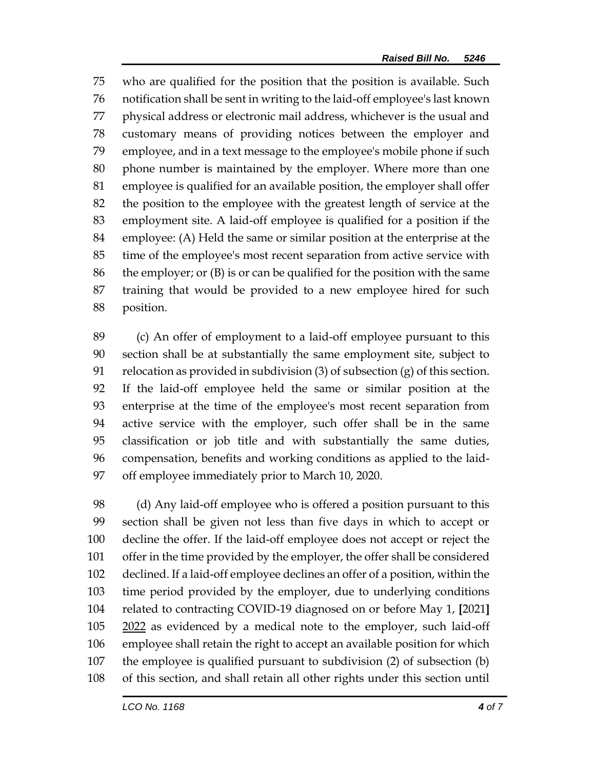who are qualified for the position that the position is available. Such notification shall be sent in writing to the laid-off employee's last known physical address or electronic mail address, whichever is the usual and customary means of providing notices between the employer and employee, and in a text message to the employee's mobile phone if such phone number is maintained by the employer. Where more than one employee is qualified for an available position, the employer shall offer the position to the employee with the greatest length of service at the employment site. A laid-off employee is qualified for a position if the employee: (A) Held the same or similar position at the enterprise at the time of the employee's most recent separation from active service with the employer; or (B) is or can be qualified for the position with the same training that would be provided to a new employee hired for such position.

 (c) An offer of employment to a laid-off employee pursuant to this section shall be at substantially the same employment site, subject to relocation as provided in subdivision (3) of subsection (g) of this section. If the laid-off employee held the same or similar position at the enterprise at the time of the employee's most recent separation from active service with the employer, such offer shall be in the same classification or job title and with substantially the same duties, compensation, benefits and working conditions as applied to the laid-off employee immediately prior to March 10, 2020.

 (d) Any laid-off employee who is offered a position pursuant to this section shall be given not less than five days in which to accept or decline the offer. If the laid-off employee does not accept or reject the offer in the time provided by the employer, the offer shall be considered declined. If a laid-off employee declines an offer of a position, within the time period provided by the employer, due to underlying conditions related to contracting COVID-19 diagnosed on or before May 1, **[**2021**]** 105 2022 as evidenced by a medical note to the employer, such laid-off employee shall retain the right to accept an available position for which the employee is qualified pursuant to subdivision (2) of subsection (b) of this section, and shall retain all other rights under this section until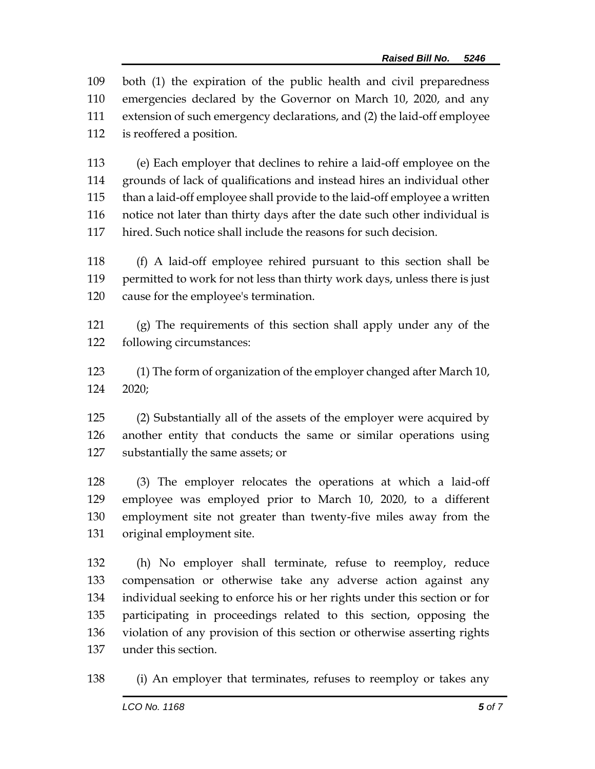both (1) the expiration of the public health and civil preparedness emergencies declared by the Governor on March 10, 2020, and any extension of such emergency declarations, and (2) the laid-off employee is reoffered a position.

 (e) Each employer that declines to rehire a laid-off employee on the grounds of lack of qualifications and instead hires an individual other than a laid-off employee shall provide to the laid-off employee a written notice not later than thirty days after the date such other individual is hired. Such notice shall include the reasons for such decision.

 (f) A laid-off employee rehired pursuant to this section shall be permitted to work for not less than thirty work days, unless there is just cause for the employee's termination.

 (g) The requirements of this section shall apply under any of the following circumstances:

 (1) The form of organization of the employer changed after March 10, 2020;

 (2) Substantially all of the assets of the employer were acquired by another entity that conducts the same or similar operations using substantially the same assets; or

 (3) The employer relocates the operations at which a laid-off employee was employed prior to March 10, 2020, to a different employment site not greater than twenty-five miles away from the original employment site.

 (h) No employer shall terminate, refuse to reemploy, reduce compensation or otherwise take any adverse action against any individual seeking to enforce his or her rights under this section or for participating in proceedings related to this section, opposing the violation of any provision of this section or otherwise asserting rights under this section.

(i) An employer that terminates, refuses to reemploy or takes any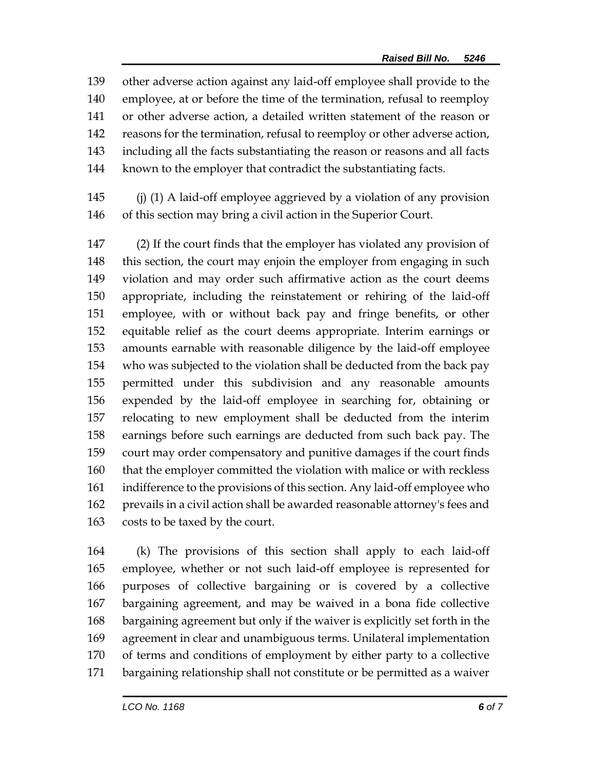other adverse action against any laid-off employee shall provide to the employee, at or before the time of the termination, refusal to reemploy or other adverse action, a detailed written statement of the reason or reasons for the termination, refusal to reemploy or other adverse action, including all the facts substantiating the reason or reasons and all facts known to the employer that contradict the substantiating facts.

 (j) (1) A laid-off employee aggrieved by a violation of any provision of this section may bring a civil action in the Superior Court.

 (2) If the court finds that the employer has violated any provision of this section, the court may enjoin the employer from engaging in such violation and may order such affirmative action as the court deems appropriate, including the reinstatement or rehiring of the laid-off employee, with or without back pay and fringe benefits, or other equitable relief as the court deems appropriate. Interim earnings or amounts earnable with reasonable diligence by the laid-off employee who was subjected to the violation shall be deducted from the back pay permitted under this subdivision and any reasonable amounts expended by the laid-off employee in searching for, obtaining or relocating to new employment shall be deducted from the interim earnings before such earnings are deducted from such back pay. The court may order compensatory and punitive damages if the court finds that the employer committed the violation with malice or with reckless indifference to the provisions of this section. Any laid-off employee who prevails in a civil action shall be awarded reasonable attorney's fees and costs to be taxed by the court.

 (k) The provisions of this section shall apply to each laid-off employee, whether or not such laid-off employee is represented for purposes of collective bargaining or is covered by a collective bargaining agreement, and may be waived in a bona fide collective bargaining agreement but only if the waiver is explicitly set forth in the agreement in clear and unambiguous terms. Unilateral implementation of terms and conditions of employment by either party to a collective bargaining relationship shall not constitute or be permitted as a waiver